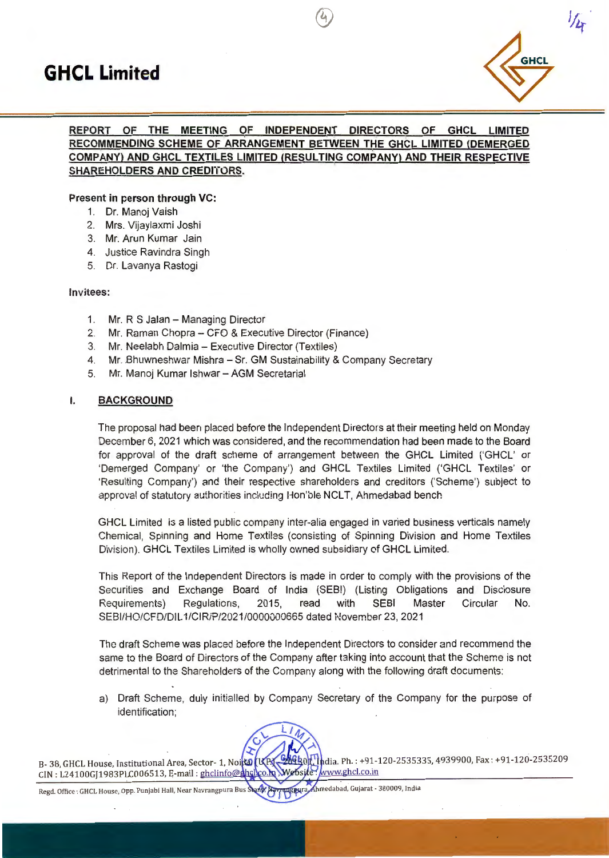

# **INDEPENDENT DIRECTORS OF GHCL LIMITED REPORT OF THE MEETING OF RECOMMENDING SCHEME OF ARRANGEMENT BETWEEN THE GHCL LIMITED (DEMERGED COMPANY) AND GHCL TEXTILES LIMITED (RESULTING COMPANY) AND THEIR RESPECTIVE** SHAREHOLDERS AND CREDITORS.

 $\left( 2\right)$ 

### **Present in person through VC:**

- 1. Dr. Manoj Vaish
- 2. Mrs. Vijaylaxmi Joshi
- 3. Mr. Arun Kumar Jain
- 4. Justice Ravindra Singh
- 5. Dr. Lavanya Rastogi

#### **Invitees:**

- 1. Mr. R S Jalan Managing Director
- 2. Mr. Raman Chopra CFO & Executive Director (Finance)
- 3. Mr. Neelabh Dalmia Executive Director (Textiles)
- 4. Mr. Bhuwneshwar Mishra Sr. GM Sustainability & Company Secretary
- 5. Mr. Manoj Kumar Ishwar AGM Secretarial

#### I. **BACKGROUND**

The proposal had been placed before the Independent Directors at their meeting held on Monday December 6, 2021 which was considered, and the recommendation had been made to the Board for approval of the draft scheme of arrangement between the GHCL Limited ('GHCL' or 'Demerged Company' or 'the Company') and GHCL Textiles Limited ('GHCL Textiles' or 'Resulting Company') and their respective shareholders and creditors ('Scheme') subject to approval of statutory authorities including Hon'ble NCLT, Ahmedabad bench

GHCL Limited is a listed public company inter-alia engaged in varied business verticals namely Chemical, Spinning and Home Textiles (consisting of Spinning Division and Home Textiles Division). GHCL Textiles Limited is wholly owned subsidiary of GHCL Limited.

This Report of the Independent Directors is made in order to comply with the provisions of the Securities and Exchange Board of India (SEB!) (Listing Obligations and Disciosure Requirements) Regulations, 2015, read with SEBI Master Circular No. SEBl/HO/CFD/DIL 1/CIR/P/2021/0000000665 dated November 23, 2021

The draft Scheme was placed before the Independent Directors to consider and recommend the same to the Board of Directors of the Company after taking into account that the Scheme is net detrimental to the Shareholders of the Company along with the following draft documents:

a) Draft Scheme, duly initialled by Company Secretary of the Company for the purpose of identification;



B- 38, GHCL House, Institutional Area, Sector- 1, Noith [KP] CIN: L24100GJ1983PLC006513, E-mail: ghclinfo@ghcllco.hp dia. Ph. : +91-120-2535335, 4939900, Fax : +91-120-2535209 Website: www.ghcl.co.in

Ahmedabad, Gujarat - 380009, India Regd. Office : GHCL House, Opp. Punjabi Hall, Near Navrangpura Bus Stand;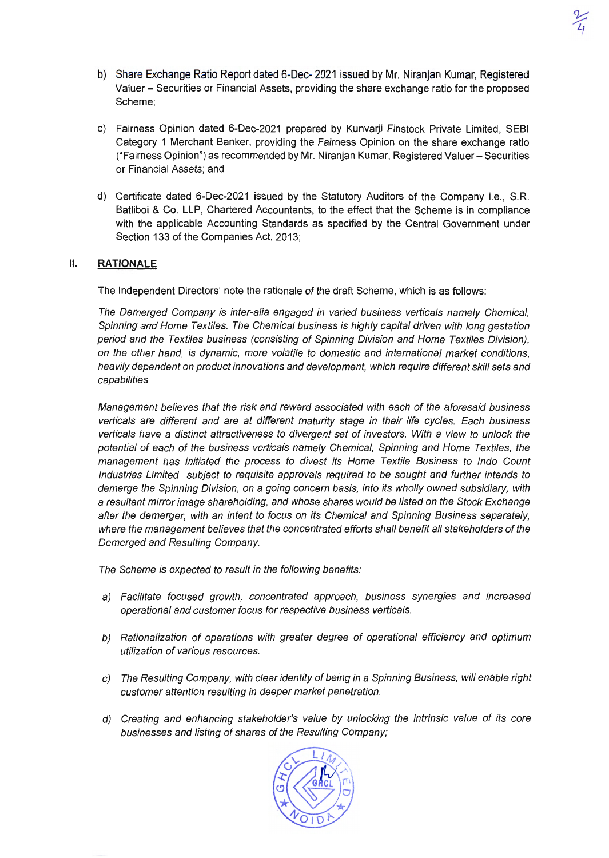- b) Share Exchange Ratio Report dated 6-Dec- 2021 issued by Mr. Niranjan Kumar, Registered Valuer - Securities or Financial Assets, providing the share exchange ratio for the proposed Scheme;
- c) Fairness Opinion dated 6-Dec-2021 prepared by Kunvarji Finstock Private Limited, SEBI Category 1 Merchant Banker, providing the Fairness Opinion on the share exchange ratio ("Fairness Opinion") as recommended by Mr. Niranjan Kumar, Registered Valuer- Securities or Financial Assets; and
- d) Certificate dated 6-Dec-2021 issued by the Statutory Auditors of the Company i.e., S.R. Batliboi & Co. LLP, Chartered Accountants, to the effect that the Scheme is in compliance with the applicable Accounting Standards as specified by the Central Government under Section 133 of the Companies Act, 2013;

### II. **RATIONALE**

The Independent Directors' note the rationale of the draft Scheme, which is as follows:

The Demerged Company is inter-alia engaged in varied business verticals namely Chemical, Spinning and Home Textiles. The Chemical business is highly capital driven with long gestation period and the Textiles business (consisting of Spinning Division and Home Textiles Division), on the other hand, is dynamic, more volatile to domestic and international market conditions, heavily dependent on product innovations and development, which require different skill sets and capabilities.

Management believes that the risk and reward associated with each of the aforesaid business verticals are different and are at different maturity stage in their life cycles. Each business verticals have a distinct attractiveness to divergent set of investors. With a view to unlock the potential of each of the business verticals namely Chemical, Spinning and Home Textiles, the management has initiated the process to divest its Home Textile Business to lndo Count Industries Limited subject to requisite approvals required to be sought and further intends to demerge the Spinning Division, on a going concern basis, into its wholly owned subsidiary, with a resultant mirror image shareholding, and whose shares would be listed on the Stock Exchange after the demerger, with an intent to focus on its Chemical and Spinning Business separately, where the management believes that the concentrated efforts shall benefit all stakeholders of the Demerged and Resulting Company.

The Scheme is expected to result in the following benefits:

- a) Facilitate focused growth, concentrated approach, business synergies and increased operational and customer focus for respective business verticals.
- b) Rationalization of operations with greater degree of operational efficiency and optimum utilization of various resources.
- c) The Resulting Company, with clear identity of being in a Spinning Business, will enable right customer attention resulting in deeper market penetration.
- d) Creating and enhancing stakeholder's value by unlocking the intrinsic value of its core businesses and listing of shares of the Resulting Company;

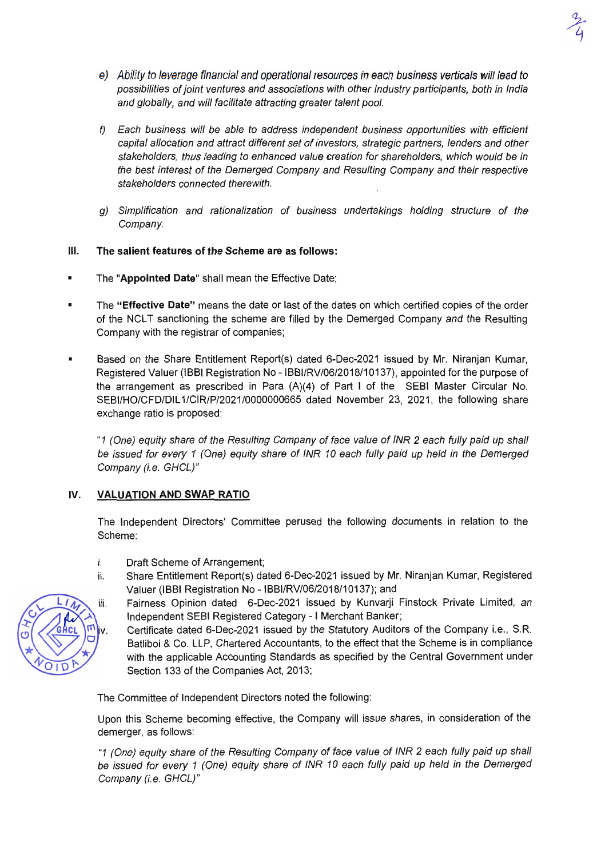

- e) Ability to leverage financial and operational resources in each business verticals will lead to possibilities of joint ventures and associations with other Industry participants, both in India and globally, and will facilitate attracting greater talent pool.
- f) Each business will be able to address independent business opportunities with efficient capital allocation and attract different set of investors, strategic partners, lenders and other stakeholders, thus leading to enhanced value creation for shareholders, which would be in the best interest of the Demerged Company and Resulting Company and their respective stakeholders connected therewith.
- g) Simplification and rationalization of business undertakings holding structure of the Company.

### Ill. The salient features of the Scheme are as follows:

- The "Appointed Date" shall mean the Effective Date;
- The "Effective Date" means the date or last of the dates on which certified copies of the order of the NCLT sanctioning the scheme are filled by the Demerged Company and the Resulting Company with the registrar of companies;
- Based on the Share Entitlement Report(s) dated 6-Dec-2021 issued by Mr. Niranjan Kumar, Registered Valuer (IBBI Registration No - IBBl/RV/06/2018/10137), appointed for the purpose of the arrangement as prescribed in Para (A)(4) of Part I of the SEBI Master Circular No. SEBl/HO/CFD/DIL 1/CIR/P/2021/0000000665 dated November 23, 2021, the following share exchange ratio is proposed:

"1 (One) equity share of the Resulting Company of face value of INR 2 each fully paid up shall be issued for every 1 (One) equity share of INR 10 each fully paid up held in the Demerged Company (i.e. GHCL)"

# IV. VALUATION AND SWAP RATIO

The Independent Directors' Committee perused the following documents in relation to the Scheme:

- i. Draft Scheme of Arrangement;
- ii. Share Entitlement Report(s) dated 6-Dec-2021 issued by Mr. Niranjan Kumar, Registered Valuer (IBBI Registration No - IBBl/RV/06/2018/10137); and
	- Fairness Opinion dated 6-Dec-2021 issued by Kunvarji Finstock Private Limited, an Independent SEBI Registered Category - I Merchant Banker;
		- Certificate dated 6-Dec-2021 issued by the Statutory Auditors of the Company i.e., S.R. Batliboi & Co. LLP, Chartered Accountants, to the effect that the Scheme is in compliance with the applicable Accounting Standards as specified by the Central Government under Section 133 of the Companies Act, 2013;

The Committee of Independent Directors noted the following:

Upon this Scheme becoming effective, the Company will issue shares, in consideration of the demerger, as follows:

"1 (One) equity share of the Resulting Company of face value of INR 2 each fully paid up shall be issued for every 1 (One) equity share of INR 10 each fully paid up held in the Demerged Company (i.e. GHCL)"

iii.